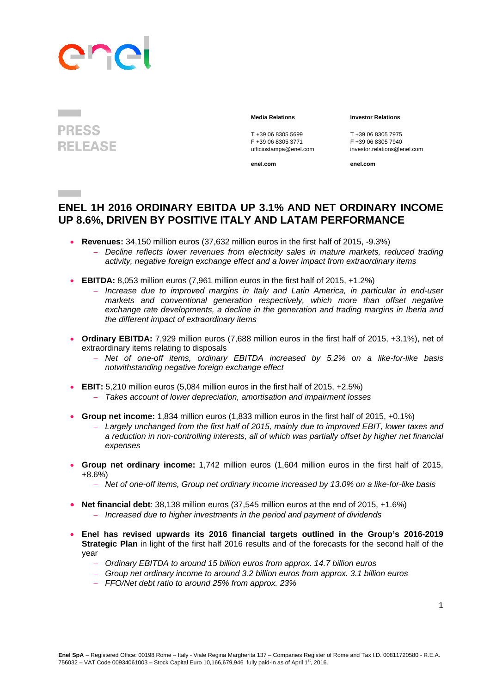# anc

### **PRESS RELEASE**

**Contract** 

T +39 06 8305 5699<br>
F +39 06 8305 3771<br>
F +39 06 8305 3771<br>
F +39 06 8305 7940

**enel.com enel.com**

#### **Media Relations Investor Relations**

F +39 06 8305 3771 F +39 06 8305 7940 ufficiostampa@enel.com investor.relations@enel.com

### **ENEL 1H 2016 ORDINARY EBITDA UP 3.1% AND NET ORDINARY INCOME UP 8.6%, DRIVEN BY POSITIVE ITALY AND LATAM PERFORMANCE**

- **Revenues:** 34,150 million euros (37,632 million euros in the first half of 2015, -9.3%)
	- *Decline reflects lower revenues from electricity sales in mature markets, reduced trading activity, negative foreign exchange effect and a lower impact from extraordinary items*
- **EBITDA:** 8,053 million euros (7,961 million euros in the first half of 2015, +1.2%)
	- *Increase due to improved margins in Italy and Latin America, in particular in end-user markets and conventional generation respectively, which more than offset negative exchange rate developments, a decline in the generation and trading margins in Iberia and the different impact of extraordinary items*
- **Ordinary EBITDA:** 7,929 million euros (7,688 million euros in the first half of 2015, +3.1%), net of extraordinary items relating to disposals
	- *Net of one-off items, ordinary EBITDA increased by 5.2% on a like-for-like basis notwithstanding negative foreign exchange effect*
- **EBIT:** 5,210 million euros (5,084 million euros in the first half of 2015, +2.5%) *Takes account of lower depreciation, amortisation and impairment losses*
- **Group net income:** 1,834 million euros (1,833 million euros in the first half of 2015, +0.1%)
	- *Largely unchanged from the first half of 2015, mainly due to improved EBIT, lower taxes and a reduction in non-controlling interests, all of which was partially offset by higher net financial expenses*
- **Group net ordinary income:** 1,742 million euros (1,604 million euros in the first half of 2015, +8.6%)
	- *Net of one-off items, Group net ordinary income increased by 13.0% on a like-for-like basis*
- **Net financial debt**: 38,138 million euros (37,545 million euros at the end of 2015, +1.6%)
	- *Increased due to higher investments in the period and payment of dividends*
- **Enel has revised upwards its 2016 financial targets outlined in the Group's 2016-2019 Strategic Plan** in light of the first half 2016 results and of the forecasts for the second half of the year
	- *Ordinary EBITDA to around 15 billion euros from approx. 14.7 billion euros*
	- *Group net ordinary income to around 3.2 billion euros from approx. 3.1 billion euros*
	- *FFO/Net debt ratio to around 25% from approx. 23%*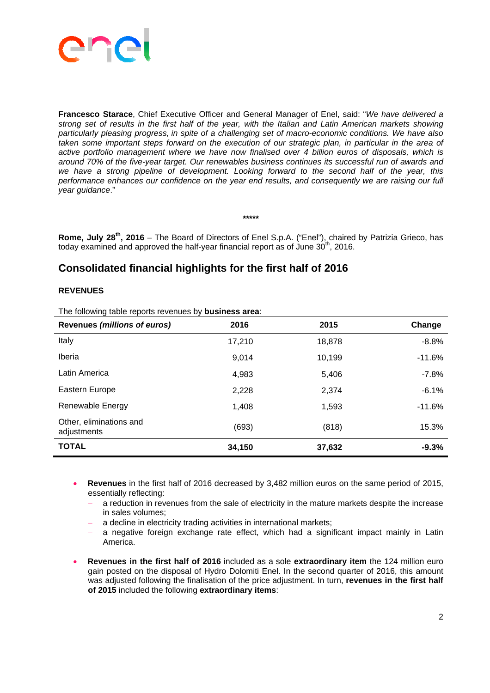

**Francesco Starace**, Chief Executive Officer and General Manager of Enel, said: "*We have delivered a strong set of results in the first half of the year, with the Italian and Latin American markets showing particularly pleasing progress, in spite of a challenging set of macro-economic conditions. We have also taken some important steps forward on the execution of our strategic plan, in particular in the area of active portfolio management where we have now finalised over 4 billion euros of disposals, which is around 70% of the five-year target. Our renewables business continues its successful run of awards and we have a strong pipeline of development. Looking forward to the second half of the year, this performance enhances our confidence on the year end results, and consequently we are raising our full year guidance*."

**Rome, July 28th, 2016** – The Board of Directors of Enel S.p.A. ("Enel"), chaired by Patrizia Grieco, has today examined and approved the half-year financial report as of June  $30<sup>th</sup>$ , 2016.

**\*\*\*\*\*** 

### **Consolidated financial highlights for the first half of 2016**

### **REVENUES**

The following table reports revenues by **business area**:

| <b>Revenues (millions of euros)</b>    | 2016   | 2015   | Change   |
|----------------------------------------|--------|--------|----------|
| Italy                                  | 17,210 | 18,878 | $-8.8%$  |
| Iberia                                 | 9,014  | 10,199 | $-11.6%$ |
| Latin America                          | 4,983  | 5,406  | $-7.8%$  |
| Eastern Europe                         | 2,228  | 2,374  | $-6.1%$  |
| Renewable Energy                       | 1,408  | 1,593  | $-11.6%$ |
| Other, eliminations and<br>adjustments | (693)  | (818)  | 15.3%    |
| <b>TOTAL</b>                           | 34,150 | 37,632 | $-9.3%$  |

- **Revenues** in the first half of 2016 decreased by 3,482 million euros on the same period of 2015, essentially reflecting:
	- a reduction in revenues from the sale of electricity in the mature markets despite the increase in sales volumes;
	- a decline in electricity trading activities in international markets;
	- a negative foreign exchange rate effect, which had a significant impact mainly in Latin America.
- **Revenues in the first half of 2016** included as a sole **extraordinary item** the 124 million euro gain posted on the disposal of Hydro Dolomiti Enel. In the second quarter of 2016, this amount was adjusted following the finalisation of the price adjustment. In turn, **revenues in the first half of 2015** included the following **extraordinary items**: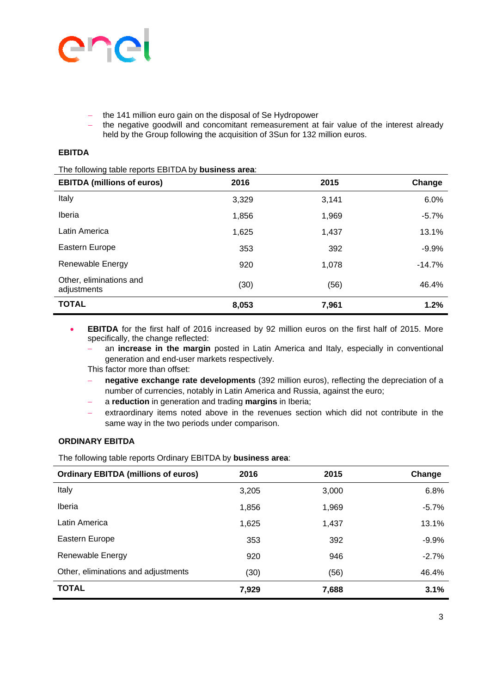

- the 141 million euro gain on the disposal of Se Hydropower
- the negative goodwill and concomitant remeasurement at fair value of the interest already held by the Group following the acquisition of 3Sun for 132 million euros.

### **EBITDA**

The following table reports EBITDA by **business area**:

| <b>EBITDA (millions of euros)</b>      | 2016  | 2015  | Change   |
|----------------------------------------|-------|-------|----------|
| Italy                                  | 3,329 | 3,141 | 6.0%     |
| Iberia                                 | 1,856 | 1,969 | $-5.7%$  |
| Latin America                          | 1,625 | 1,437 | 13.1%    |
| Eastern Europe                         | 353   | 392   | $-9.9%$  |
| <b>Renewable Energy</b>                | 920   | 1,078 | $-14.7%$ |
| Other, eliminations and<br>adjustments | (30)  | (56)  | 46.4%    |
| <b>TOTAL</b>                           | 8,053 | 7,961 | 1.2%     |

- **EBITDA** for the first half of 2016 increased by 92 million euros on the first half of 2015. More specifically, the change reflected:
	- an **increase in the margin** posted in Latin America and Italy, especially in conventional generation and end-user markets respectively.

This factor more than offset:

- **negative exchange rate developments** (392 million euros), reflecting the depreciation of a number of currencies, notably in Latin America and Russia, against the euro;
- a **reduction** in generation and trading **margins** in Iberia;
- extraordinary items noted above in the revenues section which did not contribute in the same way in the two periods under comparison.

### **ORDINARY EBITDA**

The following table reports Ordinary EBITDA by **business area**:

| <b>Ordinary EBITDA (millions of euros)</b> | 2016  | 2015  | Change  |
|--------------------------------------------|-------|-------|---------|
| Italy                                      | 3,205 | 3,000 | 6.8%    |
| Iberia                                     | 1,856 | 1,969 | $-5.7%$ |
| Latin America                              | 1,625 | 1,437 | 13.1%   |
| Eastern Europe                             | 353   | 392   | $-9.9%$ |
| Renewable Energy                           | 920   | 946   | $-2.7%$ |
| Other, eliminations and adjustments        | (30)  | (56)  | 46.4%   |
| <b>TOTAL</b>                               | 7,929 | 7,688 | 3.1%    |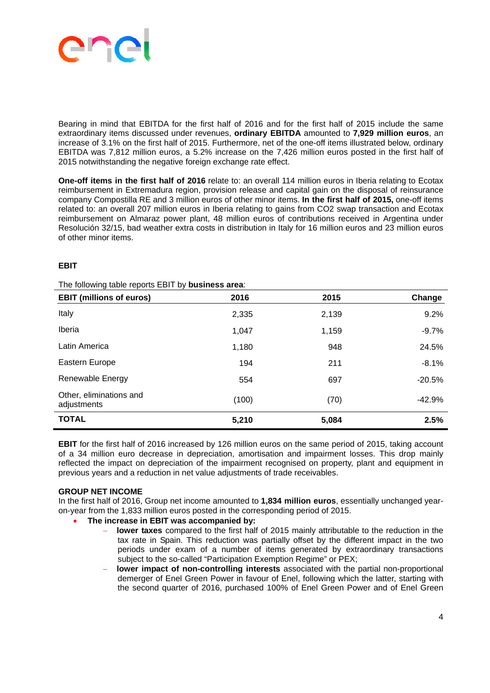

Bearing in mind that EBITDA for the first half of 2016 and for the first half of 2015 include the same extraordinary items discussed under revenues, **ordinary EBITDA** amounted to **7,929 million euros**, an increase of 3.1% on the first half of 2015. Furthermore, net of the one-off items illustrated below, ordinary EBITDA was 7,812 million euros, a 5.2% increase on the 7,426 million euros posted in the first half of 2015 notwithstanding the negative foreign exchange rate effect.

**One-off items in the first half of 2016** relate to: an overall 114 million euros in Iberia relating to Ecotax reimbursement in Extremadura region, provision release and capital gain on the disposal of reinsurance company Compostilla RE and 3 million euros of other minor items. **In the first half of 2015,** one-off items related to: an overall 207 million euros in Iberia relating to gains from CO2 swap transaction and Ecotax reimbursement on Almaraz power plant, 48 million euros of contributions received in Argentina under Resolución 32/15, bad weather extra costs in distribution in Italy for 16 million euros and 23 million euros of other minor items.

### **EBIT**

| <b>EBIT (millions of euros)</b>        | 2016  | 2015  | Change   |
|----------------------------------------|-------|-------|----------|
| Italy                                  | 2,335 | 2,139 | 9.2%     |
| Iberia                                 | 1,047 | 1,159 | $-9.7%$  |
| Latin America                          | 1,180 | 948   | 24.5%    |
| Eastern Europe                         | 194   | 211   | $-8.1%$  |
| Renewable Energy                       | 554   | 697   | $-20.5%$ |
| Other, eliminations and<br>adjustments | (100) | (70)  | $-42.9%$ |
| <b>TOTAL</b>                           | 5,210 | 5,084 | 2.5%     |

The following table reports EBIT by **business area**:

**EBIT** for the first half of 2016 increased by 126 million euros on the same period of 2015, taking account of a 34 million euro decrease in depreciation, amortisation and impairment losses. This drop mainly reflected the impact on depreciation of the impairment recognised on property, plant and equipment in previous years and a reduction in net value adjustments of trade receivables.

### **GROUP NET INCOME**

In the first half of 2016, Group net income amounted to **1,834 million euros**, essentially unchanged yearon-year from the 1,833 million euros posted in the corresponding period of 2015.

- **The increase in EBIT was accompanied by:**
	- **lower taxes** compared to the first half of 2015 mainly attributable to the reduction in the tax rate in Spain. This reduction was partially offset by the different impact in the two periods under exam of a number of items generated by extraordinary transactions subject to the so-called "Participation Exemption Regime" or PEX;
	- **lower impact of non-controlling interests** associated with the partial non-proportional demerger of Enel Green Power in favour of Enel, following which the latter, starting with the second quarter of 2016, purchased 100% of Enel Green Power and of Enel Green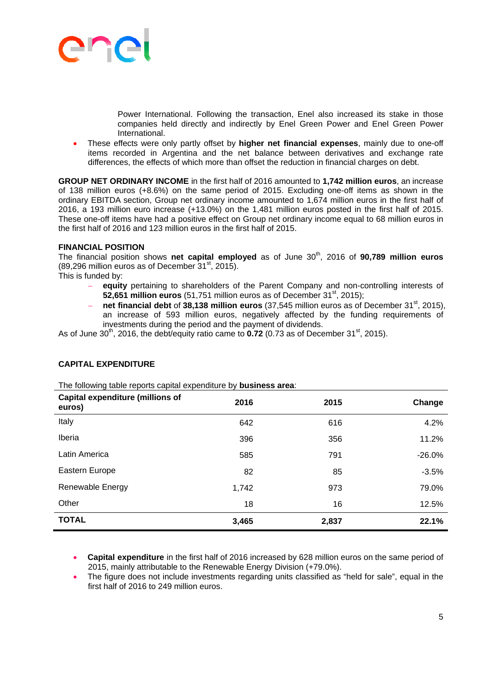

Power International. Following the transaction, Enel also increased its stake in those companies held directly and indirectly by Enel Green Power and Enel Green Power International.

 These effects were only partly offset by **higher net financial expenses**, mainly due to one-off items recorded in Argentina and the net balance between derivatives and exchange rate differences, the effects of which more than offset the reduction in financial charges on debt.

**GROUP NET ORDINARY INCOME** in the first half of 2016 amounted to **1,742 million euros**, an increase of 138 million euros (+8.6%) on the same period of 2015. Excluding one-off items as shown in the ordinary EBITDA section, Group net ordinary income amounted to 1,674 million euros in the first half of 2016, a 193 million euro increase (+13.0%) on the 1,481 million euros posted in the first half of 2015. These one-off items have had a positive effect on Group net ordinary income equal to 68 million euros in the first half of 2016 and 123 million euros in the first half of 2015.

### **FINANCIAL POSITION**

The financial position shows net capital employed as of June 30<sup>th</sup>, 2016 of 90,789 million euros  $(89.296$  million euros as of December  $31<sup>st</sup>$ , 2015).

This is funded by:

- **equity** pertaining to shareholders of the Parent Company and non-controlling interests of **52.651 million euros** (51.751 million euros as of December 31<sup>st</sup>, 2015);
- **net financial debt** of 38.138 million euros (37.545 million euros as of December 31<sup>st</sup>, 2015), an increase of 593 million euros, negatively affected by the funding requirements of investments during the period and the payment of dividends.

As of June  $30<sup>th</sup>$ , 2016, the debt/equity ratio came to  $0.72$  (0.73 as of December 31<sup>st</sup>, 2015).

### **CAPITAL EXPENDITURE**

The following table reports capital expenditure by **business area**:

| <b>Capital expenditure (millions of</b><br>euros) | 2016  | 2015  | Change   |
|---------------------------------------------------|-------|-------|----------|
| Italy                                             | 642   | 616   | 4.2%     |
| Iberia                                            | 396   | 356   | 11.2%    |
| Latin America                                     | 585   | 791   | $-26.0%$ |
| Eastern Europe                                    | 82    | 85    | $-3.5%$  |
| <b>Renewable Energy</b>                           | 1,742 | 973   | 79.0%    |
| Other                                             | 18    | 16    | 12.5%    |
| <b>TOTAL</b>                                      | 3,465 | 2,837 | 22.1%    |

- **Capital expenditure** in the first half of 2016 increased by 628 million euros on the same period of 2015, mainly attributable to the Renewable Energy Division (+79.0%).
- The figure does not include investments regarding units classified as "held for sale", equal in the first half of 2016 to 249 million euros.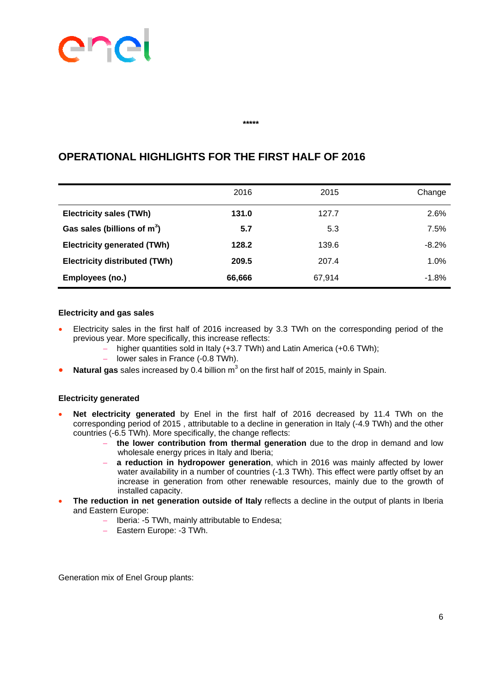# ene

#### **\*\*\*\*\***

|                                      | 2016   | 2015   | Change  |
|--------------------------------------|--------|--------|---------|
| <b>Electricity sales (TWh)</b>       | 131.0  | 127.7  | 2.6%    |
| Gas sales (billions of $m^3$ )       | 5.7    | 5.3    | 7.5%    |
| <b>Electricity generated (TWh)</b>   | 128.2  | 139.6  | $-8.2%$ |
| <b>Electricity distributed (TWh)</b> | 209.5  | 207.4  | 1.0%    |
| Employees (no.)                      | 66,666 | 67,914 | $-1.8%$ |

### **OPERATIONAL HIGHLIGHTS FOR THE FIRST HALF OF 2016**

### **Electricity and gas sales**

- Electricity sales in the first half of 2016 increased by 3.3 TWh on the corresponding period of the previous year. More specifically, this increase reflects:
	- higher quantities sold in Italy (+3.7 TWh) and Latin America (+0.6 TWh);
	- lower sales in France (-0.8 TWh).
- Natural gas sales increased by 0.4 billion m<sup>3</sup> on the first half of 2015, mainly in Spain.

### **Electricity generated**

- **Net electricity generated** by Enel in the first half of 2016 decreased by 11.4 TWh on the corresponding period of 2015 , attributable to a decline in generation in Italy (-4.9 TWh) and the other countries (-6.5 TWh). More specifically, the change reflects:
	- **the lower contribution from thermal generation** due to the drop in demand and low wholesale energy prices in Italy and Iberia;
	- **a reduction in hydropower generation**, which in 2016 was mainly affected by lower water availability in a number of countries (-1.3 TWh). This effect were partly offset by an increase in generation from other renewable resources, mainly due to the growth of installed capacity.
- **The reduction in net generation outside of Italy** reflects a decline in the output of plants in Iberia and Eastern Europe:
	- Iberia: -5 TWh, mainly attributable to Endesa;
	- Eastern Europe: -3 TWh.

Generation mix of Enel Group plants: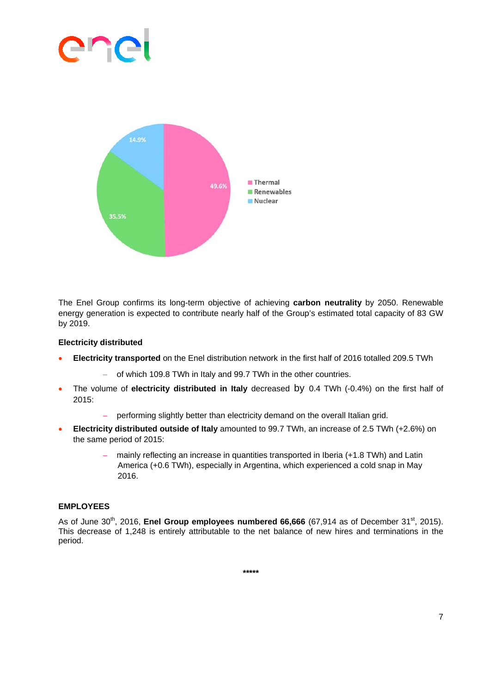# **Contract Contract Contract**



The Enel Group confirms its long-term objective of achieving **carbon neutrality** by 2050. Renewable energy generation is expected to contribute nearly half of the Group's estimated total capacity of 83 GW by 2019.

### **Electricity distributed**

- **Electricity transported** on the Enel distribution network in the first half of 2016 totalled 209.5 TWh
	- of which 109.8 TWh in Italy and 99.7 TWh in the other countries.
- The volume of **electricity distributed in Italy** decreased by 0.4 TWh (-0.4%) on the first half of 2015:
	- performing slightly better than electricity demand on the overall Italian grid.
- **Electricity distributed outside of Italy** amounted to 99.7 TWh, an increase of 2.5 TWh (+2.6%) on the same period of 2015:
	- mainly reflecting an increase in quantities transported in Iberia (+1.8 TWh) and Latin America (+0.6 TWh), especially in Argentina, which experienced a cold snap in May 2016.

### **EMPLOYEES**

As of June 30<sup>th</sup>, 2016, **Enel Group employees numbered 66,666** (67,914 as of December 31<sup>st</sup>, 2015). This decrease of 1,248 is entirely attributable to the net balance of new hires and terminations in the period.

**\*\*\*\*\***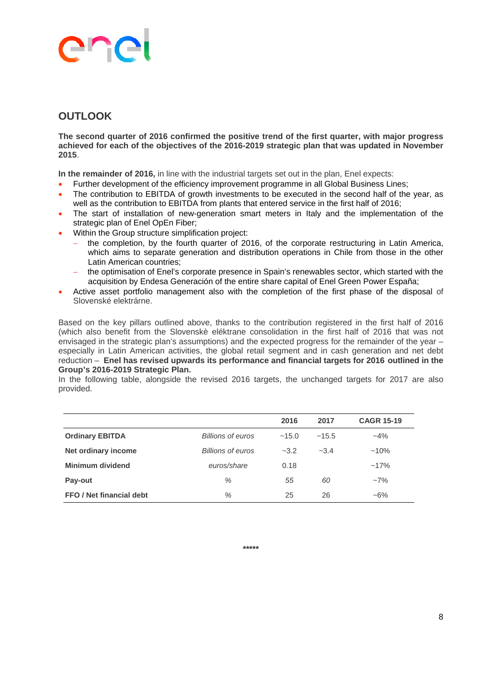# **Contract Contract Contract**

### **OUTLOOK**

**The second quarter of 2016 confirmed the positive trend of the first quarter, with major progress achieved for each of the objectives of the 2016-2019 strategic plan that was updated in November 2015**.

**In the remainder of 2016,** in line with the industrial targets set out in the plan, Enel expects:

- Further development of the efficiency improvement programme in all Global Business Lines;
- The contribution to EBITDA of growth investments to be executed in the second half of the year, as well as the contribution to EBITDA from plants that entered service in the first half of 2016;
- The start of installation of new-generation smart meters in Italy and the implementation of the strategic plan of Enel OpEn Fiber;
- Within the Group structure simplification project:
	- the completion, by the fourth quarter of 2016, of the corporate restructuring in Latin America, which aims to separate generation and distribution operations in Chile from those in the other Latin American countries;
	- the optimisation of Enel's corporate presence in Spain's renewables sector, which started with the acquisition by Endesa Generación of the entire share capital of Enel Green Power España;
- Active asset portfolio management also with the completion of the first phase of the disposal of Slovenské elektrárne.

Based on the key pillars outlined above, thanks to the contribution registered in the first half of 2016 (which also benefit from the Slovenskè eléktrane consolidation in the first half of 2016 that was not envisaged in the strategic plan's assumptions) and the expected progress for the remainder of the year – especially in Latin American activities, the global retail segment and in cash generation and net debt reduction – **Enel has revised upwards its performance and financial targets for 2016 outlined in the Group's 2016-2019 Strategic Plan.** 

In the following table, alongside the revised 2016 targets, the unchanged targets for 2017 are also provided.

|                          |                          | 2016   | 2017   | <b>CAGR 15-19</b> |
|--------------------------|--------------------------|--------|--------|-------------------|
| <b>Ordinary EBITDA</b>   | <b>Billions of euros</b> | ~15.0  | ~15.5  | $-4\%$            |
| Net ordinary income      | <b>Billions of euros</b> | $-3.2$ | $-3.4$ | $~10\%$           |
| Minimum dividend         | euros/share              | 0.18   |        | $~17\%$           |
| Pay-out                  | %                        | 55     | 60     | $-7\%$            |
| FFO / Net financial debt | %                        | 25     | 26     | $~16\%$           |

**\*\*\*\*\***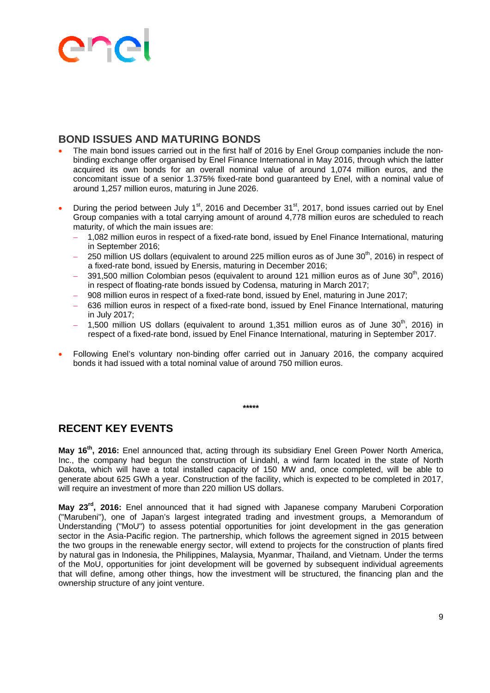## ane

### **BOND ISSUES AND MATURING BONDS**

- The main bond issues carried out in the first half of 2016 by Enel Group companies include the nonbinding exchange offer organised by Enel Finance International in May 2016, through which the latter acquired its own bonds for an overall nominal value of around 1,074 million euros, and the concomitant issue of a senior 1.375% fixed-rate bond guaranteed by Enel, with a nominal value of around 1,257 million euros, maturing in June 2026.
- During the period between July 1<sup>st</sup>, 2016 and December 31<sup>st</sup>, 2017, bond issues carried out by Enel Group companies with a total carrying amount of around 4,778 million euros are scheduled to reach maturity, of which the main issues are:
	- 1,082 million euros in respect of a fixed-rate bond, issued by Enel Finance International, maturing in September 2016;
	- 250 million US dollars (equivalent to around 225 million euros as of June  $30<sup>th</sup>$ , 2016) in respect of a fixed-rate bond, issued by Enersis, maturing in December 2016;
	- 391,500 million Colombian pesos (equivalent to around 121 million euros as of June  $30<sup>th</sup>$ . 2016) in respect of floating-rate bonds issued by Codensa, maturing in March 2017;
	- 908 million euros in respect of a fixed-rate bond, issued by Enel, maturing in June 2017;
	- 636 million euros in respect of a fixed-rate bond, issued by Enel Finance International, maturing in July 2017;
	- 1,500 million US dollars (equivalent to around 1,351 million euros as of June  $30<sup>th</sup>$ , 2016) in respect of a fixed-rate bond, issued by Enel Finance International, maturing in September 2017.
- Following Enel's voluntary non-binding offer carried out in January 2016, the company acquired bonds it had issued with a total nominal value of around 750 million euros.

**\*\*\*\*\*** 

### **RECENT KEY EVENTS**

**May 16th, 2016:** Enel announced that, acting through its subsidiary Enel Green Power North America, Inc., the company had begun the construction of Lindahl, a wind farm located in the state of North Dakota, which will have a total installed capacity of 150 MW and, once completed, will be able to generate about 625 GWh a year. Construction of the facility, which is expected to be completed in 2017, will require an investment of more than 220 million US dollars.

**May 23rd, 2016:** Enel announced that it had signed with Japanese company Marubeni Corporation ("Marubeni"), one of Japan's largest integrated trading and investment groups, a Memorandum of Understanding ("MoU") to assess potential opportunities for joint development in the gas generation sector in the Asia-Pacific region. The partnership, which follows the agreement signed in 2015 between the two groups in the renewable energy sector, will extend to projects for the construction of plants fired by natural gas in Indonesia, the Philippines, Malaysia, Myanmar, Thailand, and Vietnam. Under the terms of the MoU, opportunities for joint development will be governed by subsequent individual agreements that will define, among other things, how the investment will be structured, the financing plan and the ownership structure of any joint venture.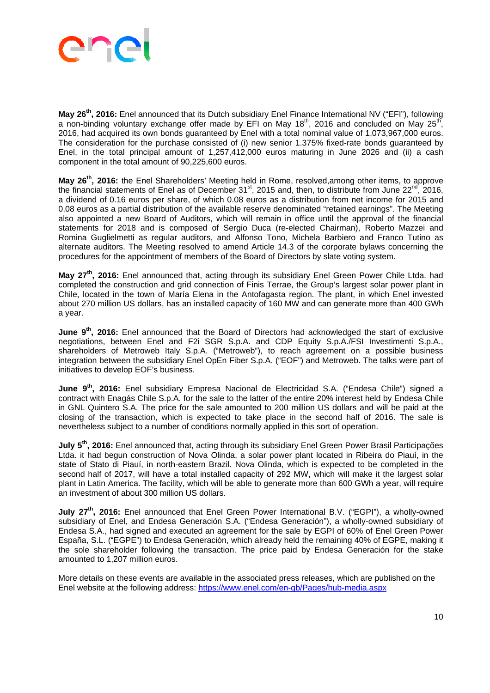

**May 26th, 2016:** Enel announced that its Dutch subsidiary Enel Finance International NV ("EFI"), following a non-binding voluntary exchange offer made by EFI on May  $18<sup>th</sup>$ , 2016 and concluded on May  $25<sup>th</sup>$ , 2016, had acquired its own bonds guaranteed by Enel with a total nominal value of 1,073,967,000 euros. The consideration for the purchase consisted of (i) new senior 1.375% fixed-rate bonds guaranteed by Enel, in the total principal amount of 1,257,412,000 euros maturing in June 2026 and (ii) a cash component in the total amount of 90,225,600 euros.

**May 26th, 2016:** the Enel Shareholders' Meeting held in Rome, resolved,among other items, to approve the financial statements of Enel as of December 31<sup>st</sup>, 2015 and, then, to distribute from June 22<sup>nd</sup>, 2016, a dividend of 0.16 euros per share, of which 0.08 euros as a distribution from net income for 2015 and 0.08 euros as a partial distribution of the available reserve denominated "retained earnings". The Meeting also appointed a new Board of Auditors, which will remain in office until the approval of the financial statements for 2018 and is composed of Sergio Duca (re-elected Chairman), Roberto Mazzei and Romina Guglielmetti as regular auditors, and Alfonso Tono, Michela Barbiero and Franco Tutino as alternate auditors. The Meeting resolved to amend Article 14.3 of the corporate bylaws concerning the procedures for the appointment of members of the Board of Directors by slate voting system.

**May 27th, 2016:** Enel announced that, acting through its subsidiary Enel Green Power Chile Ltda. had completed the construction and grid connection of Finis Terrae, the Group's largest solar power plant in Chile, located in the town of María Elena in the Antofagasta region. The plant, in which Enel invested about 270 million US dollars, has an installed capacity of 160 MW and can generate more than 400 GWh a year.

**June 9th, 2016:** Enel announced that the Board of Directors had acknowledged the start of exclusive negotiations, between Enel and F2i SGR S.p.A. and CDP Equity S.p.A./FSI Investimenti S.p.A., shareholders of Metroweb Italy S.p.A. ("Metroweb"), to reach agreement on a possible business integration between the subsidiary Enel OpEn Fiber S.p.A. ("EOF") and Metroweb. The talks were part of initiatives to develop EOF's business.

**June 9th, 2016:** Enel subsidiary Empresa Nacional de Electricidad S.A. ("Endesa Chile") signed a contract with Enagás Chile S.p.A. for the sale to the latter of the entire 20% interest held by Endesa Chile in GNL Quintero S.A. The price for the sale amounted to 200 million US dollars and will be paid at the closing of the transaction, which is expected to take place in the second half of 2016. The sale is nevertheless subject to a number of conditions normally applied in this sort of operation.

July 5<sup>th</sup>, 2016: Enel announced that, acting through its subsidiary Enel Green Power Brasil Participações Ltda. it had begun construction of Nova Olinda, a solar power plant located in Ribeira do Piauí, in the state of Stato di Piauí, in north-eastern Brazil. Nova Olinda, which is expected to be completed in the second half of 2017, will have a total installed capacity of 292 MW, which will make it the largest solar plant in Latin America. The facility, which will be able to generate more than 600 GWh a year, will require an investment of about 300 million US dollars.

**July 27th, 2016:** Enel announced that Enel Green Power International B.V. ("EGPI"), a wholly-owned subsidiary of Enel, and Endesa Generación S.A. ("Endesa Generación"), a wholly-owned subsidiary of Endesa S.A., had signed and executed an agreement for the sale by EGPI of 60% of Enel Green Power España, S.L. ("EGPE") to Endesa Generación, which already held the remaining 40% of EGPE, making it the sole shareholder following the transaction. The price paid by Endesa Generación for the stake amounted to 1,207 million euros.

More details on these events are available in the associated press releases, which are published on the Enel website at the following address: https://www.enel.com/en-gb/Pages/hub-media.aspx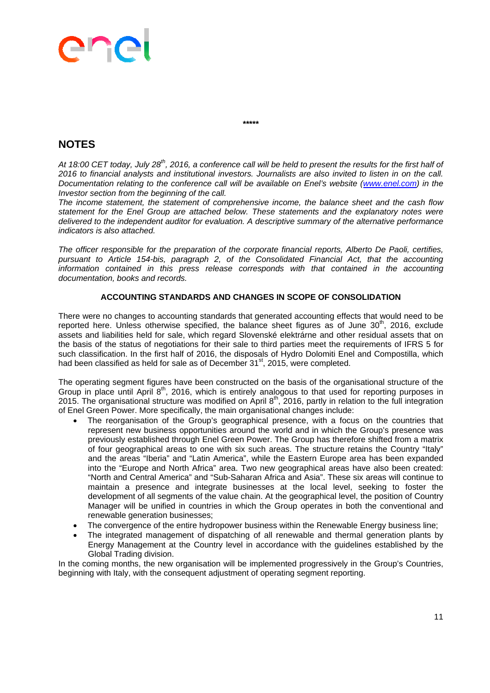### ane

**\*\*\*\*\*** 

### **NOTES**

*At 18:00 CET today, July 28th, 2016, a conference call will be held to present the results for the first half of 2016 to financial analysts and institutional investors. Journalists are also invited to listen in on the call. Documentation relating to the conference call will be available on Enel's website (www.enel.com) in the Investor section from the beginning of the call.* 

*The income statement, the statement of comprehensive income, the balance sheet and the cash flow statement for the Enel Group are attached below. These statements and the explanatory notes were delivered to the independent auditor for evaluation. A descriptive summary of the alternative performance indicators is also attached.* 

*The officer responsible for the preparation of the corporate financial reports, Alberto De Paoli, certifies, pursuant to Article 154-bis, paragraph 2, of the Consolidated Financial Act, that the accounting information contained in this press release corresponds with that contained in the accounting documentation, books and records.* 

### **ACCOUNTING STANDARDS AND CHANGES IN SCOPE OF CONSOLIDATION**

There were no changes to accounting standards that generated accounting effects that would need to be reported here. Unless otherwise specified, the balance sheet figures as of June  $30<sup>th</sup>$ , 2016, exclude assets and liabilities held for sale, which regard Slovenské elektrárne and other residual assets that on the basis of the status of negotiations for their sale to third parties meet the requirements of IFRS 5 for such classification. In the first half of 2016, the disposals of Hydro Dolomiti Enel and Compostilla, which had been classified as held for sale as of December  $31<sup>st</sup>$ , 2015, were completed.

The operating segment figures have been constructed on the basis of the organisational structure of the Group in place until April  $8<sup>th</sup>$ , 2016, which is entirely analogous to that used for reporting purposes in 2015. The organisational structure was modified on April 8<sup>th</sup>, 2016, partly in relation to the full integration of Enel Green Power. More specifically, the main organisational changes include:

- The reorganisation of the Group's geographical presence, with a focus on the countries that represent new business opportunities around the world and in which the Group's presence was previously established through Enel Green Power. The Group has therefore shifted from a matrix of four geographical areas to one with six such areas. The structure retains the Country "Italy" and the areas "Iberia" and "Latin America", while the Eastern Europe area has been expanded into the "Europe and North Africa" area. Two new geographical areas have also been created: "North and Central America" and "Sub-Saharan Africa and Asia". These six areas will continue to maintain a presence and integrate businesses at the local level, seeking to foster the development of all segments of the value chain. At the geographical level, the position of Country Manager will be unified in countries in which the Group operates in both the conventional and renewable generation businesses;
- The convergence of the entire hydropower business within the Renewable Energy business line;
- The integrated management of dispatching of all renewable and thermal generation plants by Energy Management at the Country level in accordance with the guidelines established by the Global Trading division.

In the coming months, the new organisation will be implemented progressively in the Group's Countries, beginning with Italy, with the consequent adjustment of operating segment reporting.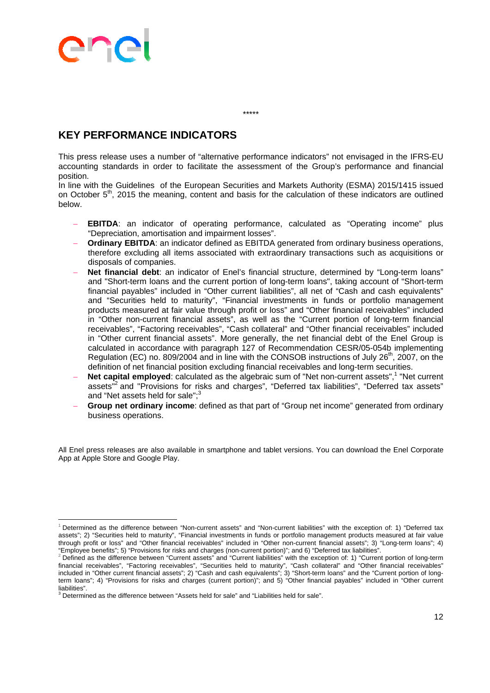# **Contract Contract Contract**

### **KEY PERFORMANCE INDICATORS**

This press release uses a number of "alternative performance indicators" not envisaged in the IFRS-EU accounting standards in order to facilitate the assessment of the Group's performance and financial position.

\*\*\*\*\*

In line with the Guidelines of the European Securities and Markets Authority (ESMA) 2015/1415 issued on October 5<sup>th</sup>, 2015 the meaning, content and basis for the calculation of these indicators are outlined below.

- **EBITDA:** an indicator of operating performance, calculated as "Operating income" plus "Depreciation, amortisation and impairment losses".
- **Ordinary EBITDA**: an indicator defined as EBITDA generated from ordinary business operations, therefore excluding all items associated with extraordinary transactions such as acquisitions or disposals of companies.
- **Net financial debt**: an indicator of Enel's financial structure, determined by "Long-term loans" and "Short-term loans and the current portion of long-term loans", taking account of "Short-term financial payables" included in "Other current liabilities", all net of "Cash and cash equivalents" and "Securities held to maturity", "Financial investments in funds or portfolio management products measured at fair value through profit or loss" and "Other financial receivables" included in "Other non-current financial assets", as well as the "Current portion of long-term financial receivables", "Factoring receivables", "Cash collateral" and "Other financial receivables" included in "Other current financial assets". More generally, the net financial debt of the Enel Group is calculated in accordance with paragraph 127 of Recommendation CESR/05-054b implementing Regulation (EC) no. 809/2004 and in line with the CONSOB instructions of July  $26<sup>th</sup>$ , 2007, on the definition of net financial position excluding financial receivables and long-term securities.
- Net capital employed: calculated as the algebraic sum of "Net non-current assets",<sup>1</sup> "Net current assets"<sup>2</sup> and "Provisions for risks and charges", "Deferred tax liabilities", "Deferred tax assets" and "Net assets held for sale";<sup>3</sup>
- **Group net ordinary income**: defined as that part of "Group net income" generated from ordinary business operations.

All Enel press releases are also available in smartphone and tablet versions. You can download the Enel Corporate App at Apple Store and Google Play.

  $1$  Determined as the difference between "Non-current assets" and "Non-current liabilities" with the exception of: 1) "Deferred tax assets"; 2) "Securities held to maturity", "Financial investments in funds or portfolio management products measured at fair value through profit or loss" and "Other financial receivables" included in "Other non-current financial assets"; 3) "Long-term loans"; 4)<br>"Employee benefits"; 5) "Provisions for risks and charges (non-current portion)"; and 6) "Employee benefits"; 5) "Provisions for risks and charges (non-current portion)"; and 6) "Deferred tax liabilities".<br><sup>2</sup> Defined as the difference between "Current assets" and "Current liabilities" with the exception of: 1

financial receivables", "Factoring receivables", "Securities held to maturity", "Cash collateral" and "Other financial receivables" included in "Other current financial assets"; 2) "Cash and cash equivalents"; 3) "Short-term loans" and the "Current portion of longterm loans"; 4) "Provisions for risks and charges (current portion)"; and 5) "Other financial payables" included in "Other current liabilities".

 $3$  Determined as the difference between "Assets held for sale" and "Liabilities held for sale".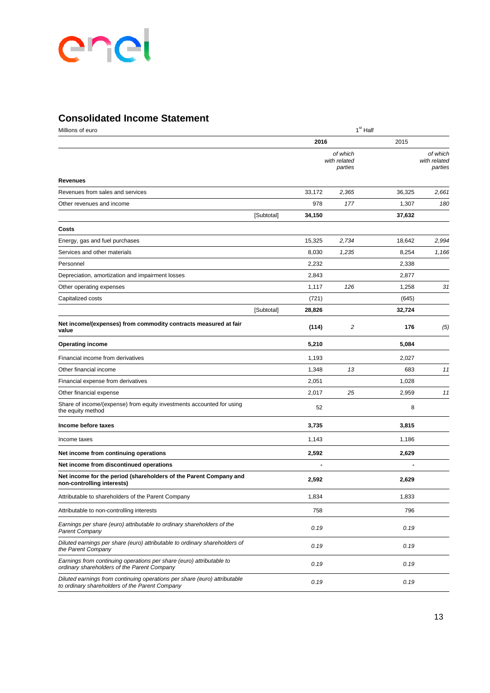### **Consolidated Income Statement**

| Millions of euro                                                                                                            |            | 1 <sup>st</sup> Half |                                     |        |                                     |  |
|-----------------------------------------------------------------------------------------------------------------------------|------------|----------------------|-------------------------------------|--------|-------------------------------------|--|
|                                                                                                                             |            | 2016                 |                                     | 2015   |                                     |  |
|                                                                                                                             |            |                      | of which<br>with related<br>parties |        | of which<br>with related<br>parties |  |
| <b>Revenues</b>                                                                                                             |            |                      |                                     |        |                                     |  |
| Revenues from sales and services                                                                                            |            | 33,172               | 2,365                               | 36,325 | 2,661                               |  |
| Other revenues and income                                                                                                   |            | 978                  | 177                                 | 1,307  | 180                                 |  |
|                                                                                                                             | [Subtotal] | 34,150               |                                     | 37,632 |                                     |  |
| Costs                                                                                                                       |            |                      |                                     |        |                                     |  |
| Energy, gas and fuel purchases                                                                                              |            | 15,325               | 2,734                               | 18,642 | 2,994                               |  |
| Services and other materials                                                                                                |            | 8,030                | 1,235                               | 8,254  | 1,166                               |  |
| Personnel                                                                                                                   |            | 2,232                |                                     | 2,338  |                                     |  |
| Depreciation, amortization and impairment losses                                                                            |            | 2,843                |                                     | 2,877  |                                     |  |
| Other operating expenses                                                                                                    |            | 1,117                | 126                                 | 1,258  | 31                                  |  |
| Capitalized costs                                                                                                           |            | (721)                |                                     | (645)  |                                     |  |
|                                                                                                                             | [Subtotal] | 28,826               |                                     | 32,724 |                                     |  |
| Net income/(expenses) from commodity contracts measured at fair<br>value                                                    |            | (114)                | 2                                   | 176    | (5)                                 |  |
| <b>Operating income</b>                                                                                                     |            | 5,210                |                                     | 5,084  |                                     |  |
| Financial income from derivatives                                                                                           |            | 1,193                |                                     | 2,027  |                                     |  |
| Other financial income                                                                                                      |            | 1,348                | 13                                  | 683    | 11                                  |  |
| Financial expense from derivatives                                                                                          |            | 2,051                |                                     | 1,028  |                                     |  |
| Other financial expense                                                                                                     |            | 2,017                | 25                                  | 2,959  | 11                                  |  |
| Share of income/(expense) from equity investments accounted for using<br>the equity method                                  |            | 52                   |                                     | 8      |                                     |  |
| Income before taxes                                                                                                         |            | 3,735                |                                     | 3,815  |                                     |  |
| Income taxes                                                                                                                |            | 1,143                |                                     | 1,186  |                                     |  |
| Net income from continuing operations                                                                                       |            | 2,592                |                                     | 2,629  |                                     |  |
| Net income from discontinued operations                                                                                     |            |                      |                                     |        |                                     |  |
| Net income for the period (shareholders of the Parent Company and<br>non-controlling interests)                             |            | 2,592                |                                     | 2,629  |                                     |  |
| Attributable to shareholders of the Parent Company                                                                          |            | 1,834                |                                     | 1,833  |                                     |  |
| Attributable to non-controlling interests                                                                                   |            | 758                  |                                     | 796    |                                     |  |
| Earnings per share (euro) attributable to ordinary shareholders of the<br><b>Parent Company</b>                             |            | 0.19                 |                                     | 0.19   |                                     |  |
| Diluted earnings per share (euro) attributable to ordinary shareholders of<br>the Parent Company                            |            | 0.19                 |                                     | 0.19   |                                     |  |
| Earnings from continuing operations per share (euro) attributable to<br>ordinary shareholders of the Parent Company         |            | 0.19                 |                                     | 0.19   |                                     |  |
| Diluted earnings from continuing operations per share (euro) attributable<br>to ordinary shareholders of the Parent Company |            | 0.19                 |                                     | 0.19   |                                     |  |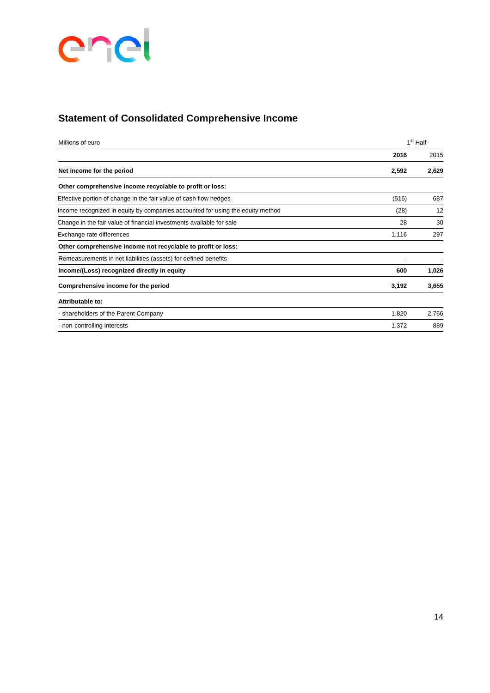

### **Statement of Consolidated Comprehensive Income**

| Millions of euro                                                               |       | 1 <sup>st</sup> Half |
|--------------------------------------------------------------------------------|-------|----------------------|
|                                                                                | 2016  | 2015                 |
| Net income for the period                                                      | 2,592 | 2,629                |
| Other comprehensive income recyclable to profit or loss:                       |       |                      |
| Effective portion of change in the fair value of cash flow hedges              | (516) | 687                  |
| Income recognized in equity by companies accounted for using the equity method | (28)  | 12                   |
| Change in the fair value of financial investments available for sale           | 28    | 30                   |
| Exchange rate differences                                                      | 1,116 | 297                  |
| Other comprehensive income not recyclable to profit or loss:                   |       |                      |
| Remeasurements in net liabilities (assets) for defined benefits                |       |                      |
| Income/(Loss) recognized directly in equity                                    | 600   | 1,026                |
| Comprehensive income for the period                                            | 3,192 | 3,655                |
| Attributable to:                                                               |       |                      |
| - shareholders of the Parent Company                                           | 1,820 | 2,766                |
| - non-controlling interests                                                    | 1,372 | 889                  |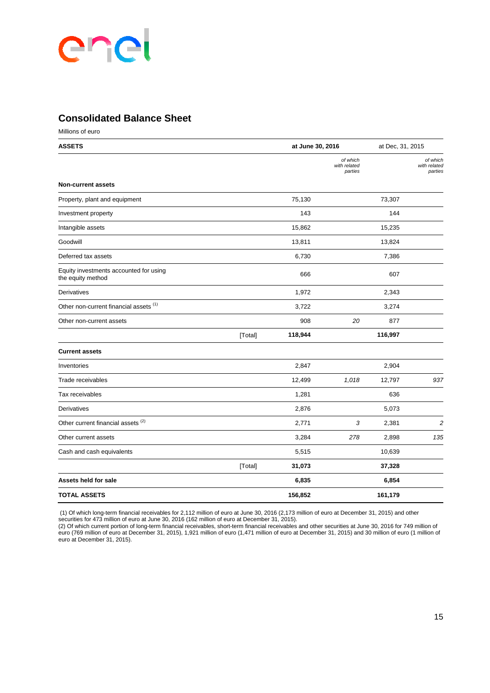### **Consolidated Balance Sheet**

Millions of euro

| <b>ASSETS</b>                                               |         | at June 30, 2016 |                                     | at Dec, 31, 2015 |                                     |
|-------------------------------------------------------------|---------|------------------|-------------------------------------|------------------|-------------------------------------|
|                                                             |         |                  | of which<br>with related<br>parties |                  | of which<br>with related<br>parties |
| <b>Non-current assets</b>                                   |         |                  |                                     |                  |                                     |
| Property, plant and equipment                               |         | 75,130           |                                     | 73,307           |                                     |
| Investment property                                         |         | 143              |                                     | 144              |                                     |
| Intangible assets                                           |         | 15,862           |                                     | 15,235           |                                     |
| Goodwill                                                    |         | 13,811           |                                     | 13,824           |                                     |
| Deferred tax assets                                         |         | 6,730            |                                     | 7,386            |                                     |
| Equity investments accounted for using<br>the equity method |         | 666              |                                     | 607              |                                     |
| Derivatives                                                 |         | 1,972            |                                     | 2,343            |                                     |
| Other non-current financial assets (1)                      |         | 3,722            |                                     | 3,274            |                                     |
| Other non-current assets                                    |         | 908              | 20                                  | 877              |                                     |
|                                                             | [Total] | 118,944          |                                     | 116,997          |                                     |
| <b>Current assets</b>                                       |         |                  |                                     |                  |                                     |
| Inventories                                                 |         | 2,847            |                                     | 2,904            |                                     |
| Trade receivables                                           |         | 12,499           | 1,018                               | 12,797           | 937                                 |
| Tax receivables                                             |         | 1,281            |                                     | 636              |                                     |
| Derivatives                                                 |         | 2,876            |                                     | 5,073            |                                     |
| Other current financial assets <sup>(2)</sup>               |         | 2,771            | 3                                   | 2,381            | $\overline{c}$                      |
| Other current assets                                        |         | 3,284            | 278                                 | 2,898            | 135                                 |
| Cash and cash equivalents                                   |         | 5,515            |                                     | 10,639           |                                     |
|                                                             | [Total] | 31,073           |                                     | 37,328           |                                     |
| Assets held for sale                                        |         | 6,835            |                                     | 6,854            |                                     |
| <b>TOTAL ASSETS</b>                                         |         | 156,852          |                                     | 161,179          |                                     |

 (1) Of which long-term financial receivables for 2,112 million of euro at June 30, 2016 (2,173 million of euro at December 31, 2015) and other securities for 473 million of euro at June 30, 2016 (162 million of euro at December 31, 2015).

(2) Of which current portion of long-term financial receivables, short-term financial receivables and other securities at June 30, 2016 for 749 million of euro (769 million of euro at December 31, 2015), 1,921 million of euro (1,471 million of euro at December 31, 2015) and 30 million of euro (1 million of euro at December 31, 2015).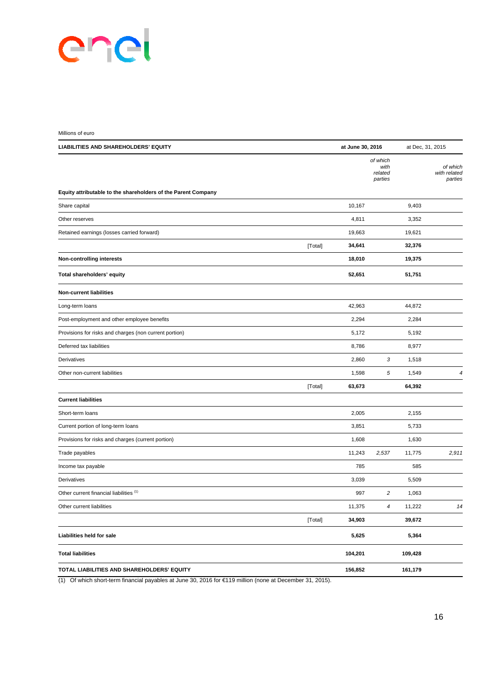| Millions of euro                                              |         |                  |                                        |                  |                                     |
|---------------------------------------------------------------|---------|------------------|----------------------------------------|------------------|-------------------------------------|
| LIABILITIES AND SHAREHOLDERS' EQUITY                          |         | at June 30, 2016 |                                        | at Dec, 31, 2015 |                                     |
|                                                               |         |                  | of which<br>with<br>related<br>parties |                  | of which<br>with related<br>parties |
| Equity attributable to the shareholders of the Parent Company |         |                  |                                        |                  |                                     |
| Share capital                                                 |         | 10,167           |                                        | 9,403            |                                     |
| Other reserves                                                |         | 4,811            |                                        | 3,352            |                                     |
| Retained earnings (losses carried forward)                    |         | 19,663           |                                        | 19,621           |                                     |
|                                                               | [Total] | 34,641           |                                        | 32,376           |                                     |
| <b>Non-controlling interests</b>                              |         | 18,010           |                                        | 19,375           |                                     |
| Total shareholders' equity                                    |         | 52,651           |                                        | 51,751           |                                     |
| <b>Non-current liabilities</b>                                |         |                  |                                        |                  |                                     |
| Long-term loans                                               |         | 42,963           |                                        | 44,872           |                                     |
| Post-employment and other employee benefits                   |         | 2,294            |                                        | 2,284            |                                     |
| Provisions for risks and charges (non current portion)        |         | 5,172            |                                        | 5,192            |                                     |
| Deferred tax liabilities                                      |         | 8,786            |                                        | 8,977            |                                     |
| Derivatives                                                   |         | 2,860            | 3                                      | 1,518            |                                     |
| Other non-current liabilities                                 |         | 1,598            | 5                                      | 1,549            | 4                                   |
|                                                               | [Total] | 63,673           |                                        | 64,392           |                                     |
| <b>Current liabilities</b>                                    |         |                  |                                        |                  |                                     |
| Short-term loans                                              |         | 2,005            |                                        | 2,155            |                                     |
| Current portion of long-term loans                            |         | 3,851            |                                        | 5,733            |                                     |
| Provisions for risks and charges (current portion)            |         | 1,608            |                                        | 1,630            |                                     |
| Trade payables                                                |         | 11,243           | 2,537                                  | 11,775           | 2,911                               |
| Income tax payable                                            |         | 785              |                                        | 585              |                                     |
| Derivatives                                                   |         | 3,039            |                                        | 5,509            |                                     |
| Other current financial liabilities (1)                       |         | 997              | 2                                      | 1,063            |                                     |
| Other current liabilities                                     |         | 11,375           | 4                                      | 11,222           | 14                                  |
|                                                               | [Total] | 34,903           |                                        | 39,672           |                                     |
| Liabilities held for sale                                     |         | 5,625            |                                        | 5,364            |                                     |
| <b>Total liabilities</b>                                      |         | 104,201          |                                        | 109,428          |                                     |
| TOTAL LIABILITIES AND SHAREHOLDERS' EQUITY                    |         | 156,852          |                                        | 161,179          |                                     |

(1) Of which short-term financial payables at June 30, 2016 for €119 million (none at December 31, 2015).